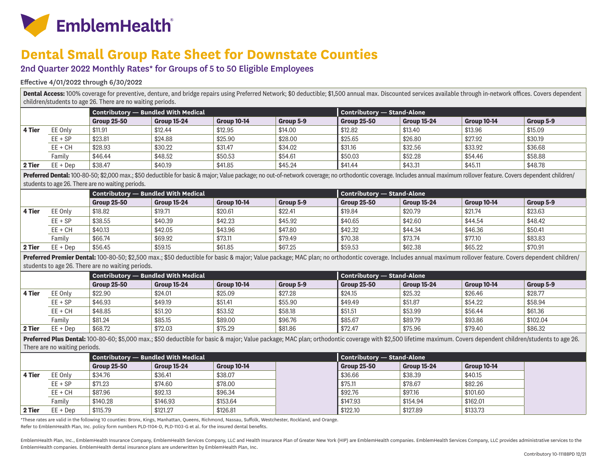

# **Dental Small Group Rate Sheet for Downstate Counties**

## 2nd Quarter 2022 Monthly Rates\* for Groups of 5 to 50 Eligible Employees

#### Effective 4/01/2022 through 6/30/2022

Dental Access: 100% coverage for preventive, denture, and bridge repairs using Preferred Network; \$0 deductible; \$1,500 annual max. Discounted services available through in-network offices. Covers dependent children/students to age 26. There are no waiting periods.

|        |            | Contributory — Bundled With Medical |                    |                    |           | Contributory - Stand-Alone |                    |                    |           |  |
|--------|------------|-------------------------------------|--------------------|--------------------|-----------|----------------------------|--------------------|--------------------|-----------|--|
|        |            | <b>Group 25-50</b>                  | <b>Group 15-24</b> | <b>Group 10-14</b> | Group 5-9 | <b>Group 25-50</b>         | <b>Group 15-24</b> | <b>Group 10-14</b> | Group 5-9 |  |
| 4 Tier | EE Only    | \$11.91                             | \$12.44            | \$12.95            | \$14.00   | \$12.82                    | \$13.40            | \$13.96            | \$15.09   |  |
|        | $EE + SP$  | \$23.81                             | \$24.88            | \$25.90            | \$28.00   | \$25.65                    | \$26.80            | \$27.92            | \$30.19   |  |
|        | $EE + CH$  | \$28.93                             | \$30.22            | \$31.47            | \$34.02   | \$31.16                    | \$32.56            | \$33.92            | \$36.68   |  |
|        | Familv     | \$46.44                             | \$48.52            | \$50.53            | \$54.61   | \$50.03                    | \$52.28            | \$54.46            | \$58.88   |  |
| 2 Tier | $EE + Dep$ | \$38.47                             | \$40.19            | \$41.85            | \$45.24   | \$41.44                    | \$43.31            | \$45.11            | \$48.78   |  |

Preferred Dental: 100-80-50; \$2,000 max.; \$50 deductible for basic & major; Value package; no out-of-network coverage; no orthodontic coverage. Includes annual maximum rollover feature. Covers dependent children/ students to age 26. There are no waiting periods.

|        |            | Contributory — Bundled With Medical |                    |                    |           | <b>Contributory — Stand-Alone</b> |             |             |           |
|--------|------------|-------------------------------------|--------------------|--------------------|-----------|-----------------------------------|-------------|-------------|-----------|
|        |            | <b>Group 25-50</b>                  | <b>Group 15-24</b> | <b>Group 10-14</b> | Group 5-9 | <b>Group 25-50</b>                | Group 15-24 | Group 10-14 | Group 5-9 |
| 4 Tier | EE Only    | \$18.82                             | \$19.71            | \$20.61            | \$22.41   | \$19.84                           | \$20.79     | \$21.74     | \$23.63   |
|        | $EE + SP$  | \$38.55                             | \$40.39            | \$42.23            | \$45.92   | \$40.65                           | \$42.60     | \$44.54     | \$48.42   |
|        | $EE + CH$  | \$40.13                             | \$42.05            | \$43.96            | \$47.80   | \$42.32                           | \$44.34     | \$46.36     | \$50.41   |
|        | Family     | \$66.74                             | \$69.92            | \$73.11            | \$79.49   | \$70.38                           | \$73.74     | \$77.10     | \$83.83   |
| 2 Tier | $EE + Dep$ | \$56.45                             | \$59.15            | \$61.85            | \$67.25   | \$59.53                           | \$62.38     | \$65.22     | \$70.91   |

**Preferred Premier Dental:** 100-80-50; \$2,500 max.; \$50 deductible for basic & major; Value package; MAC plan; no orthodontic coverage. Includes annual maximum rollover feature. Covers dependent children/ students to age 26. There are no waiting periods.

|        |            | Contributory - Bundled With Medical |                    |                    |           | Contributory — Stand-Alone |                    |             |           |
|--------|------------|-------------------------------------|--------------------|--------------------|-----------|----------------------------|--------------------|-------------|-----------|
|        |            | <b>Group 25-50</b>                  | <b>Group 15-24</b> | <b>Group 10-14</b> | Group 5-9 | Group 25-50                | <b>Group 15-24</b> | Group 10-14 | Group 5-9 |
| 4 Tier | EE Only    | \$22.90                             | \$24.01            | \$25.09            | \$27.28   | \$24.15                    | \$25.32            | \$26.46     | \$28.77   |
|        | $EE + SP$  | \$46.93                             | \$49.19            | \$51.41            | \$55.90   | \$49.49                    | \$51.87            | \$54.22     | \$58.94   |
|        | $EE + CH$  | \$48.85                             | \$51.20            | \$53.52            | \$58.18   | \$51.51                    | \$53.99            | \$56.44     | \$61.36   |
|        | Family     | \$81.24                             | \$85.15            | \$89.00            | \$96.76   | \$85.67                    | \$89.79            | \$93.86     | \$102.04  |
| 2 Tier | $EE + Dep$ | \$68.72                             | \$72.03            | \$75.29            | \$81.86   | \$72.47                    | \$75.96            | \$79.40     | \$86.32   |

Preferred Plus Dental: 100-80-60; \$5,000 max.; \$50 deductible for basic & major; Value package; MAC plan; orthodontic coverage with \$2,500 lifetime maximum. Covers dependent children/students to age 26. There are no waiting periods.

|        |            | <b>Contributory — Bundled With Medical</b> |                    |                    | <b>Contributory — Stand-Alone</b> |                    |                    |
|--------|------------|--------------------------------------------|--------------------|--------------------|-----------------------------------|--------------------|--------------------|
|        |            | <b>Group 25-50</b>                         | <b>Group 15-24</b> | <b>Group 10-14</b> | <b>Group 25-50</b>                | <b>Group 15-24</b> | <b>Group 10-14</b> |
| 4 Tier | EE Only    | \$34.76                                    | \$36.41            | \$38.07            | \$36.66                           | \$38.39            | \$40.15            |
|        | $EE + SP$  | \$71.23                                    | \$74.60            | \$78.00            | \$75.11                           | \$78.67            | \$82.26            |
|        | $EE + CH$  | \$87.96                                    | \$92.13            | \$96.34            | \$92.76                           | \$97.16            | \$101.60           |
|        | Familv     | \$140.28                                   | \$146.93           | \$153.64           | \$147.93                          | \$154.94           | \$162.01           |
| 2 Tier | $EE + Dep$ | \$115.79                                   | \$121.27           | \$126.81           | \$122.10                          | \$127.89           | \$133.73           |

\*These rates are valid in the following 10 counties: Bronx, Kings, Manhattan, Queens, Richmond, Nassau, Suffolk, Westchester, Rockland, and Orange.

Refer to EmblemHealth Plan, Inc. policy form numbers PLD-1104-D, PLD-1103-G et al. for the insured dental benefits.

EmblemHealth Plan, Inc., EmblemHealth Insurance Company, EmblemHealth Services Company, LLC and Health Insurance Plan of Greater New York (HIP) are EmblemHealth companies. EmblemHealth Services Company, LLC provides admini EmblemHealth companies. EmblemHealth dental insurance plans are underwritten by EmblemHealth Plan, Inc.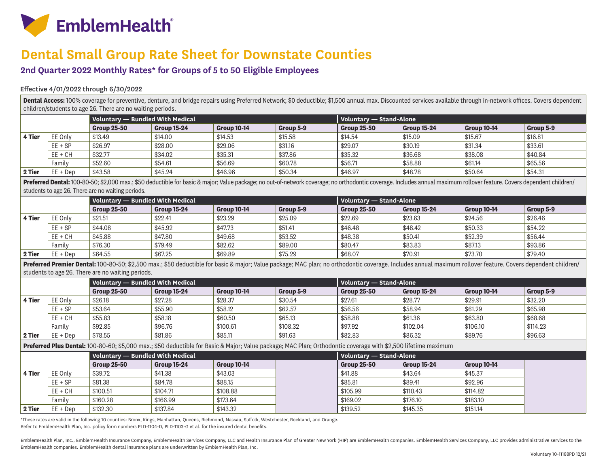

# **Dental Small Group Rate Sheet for Downstate Counties**

### **2nd Quarter 2022 Monthly Rates\* for Groups of 5 to 50 Eligible Employees**

### Effective 4/01/2022 through 6/30/2022

Dental Access: 100% coverage for preventive, denture, and bridge repairs using Preferred Network; \$0 deductible; \$1,500 annual max. Discounted services available through in-network offices. Covers dependent children/students to age 26. There are no waiting periods.

|        |            |                    | Voluntary — Bundled With Medical |                    |           |                    | Voluntary — Stand-Alone |                    |           |  |  |
|--------|------------|--------------------|----------------------------------|--------------------|-----------|--------------------|-------------------------|--------------------|-----------|--|--|
|        |            | <b>Group 25-50</b> | <b>Group 15-24</b>               | <b>Group 10-14</b> | Group 5-9 | <b>Group 25-50</b> | <b>Group 15-24</b>      | <b>Group 10-14</b> | Group 5-9 |  |  |
| 4 Tier | EE Only    | \$13.49            | \$14.00                          | \$14.53            | \$15.58   | \$14.54            | \$15.09                 | \$15.67            | \$16.81   |  |  |
|        | $EE + SP$  | \$26.97            | \$28.00                          | \$29.06            | \$31.16   | \$29.07            | \$30.19                 | \$31.34            | \$33.61   |  |  |
|        | $EE + CH$  | \$32.77            | \$34.02                          | \$35.31            | \$37.86   | \$35.32            | \$36.68                 | \$38.08            | \$40.84   |  |  |
|        | Familv     | \$52.60            | \$54.61                          | \$56.69            | \$60.78   | \$56.71            | \$58.88                 | \$61.14            | \$65.56   |  |  |
| 2 Tier | $EE + Dep$ | \$43.58            | \$45.24                          | \$46.96            | \$50.34   | \$46.97            | \$48.78                 | \$50.64            | \$54.31   |  |  |

Preferred Dental: 100-80-50; \$2,000 max.; \$50 deductible for basic & major; Value package; no out-of-network coverage; no orthodontic coverage. Includes annual maximum rollover feature. Covers dependent children/ students to age 26. There are no waiting periods.

|        |            | Voluntary — Bundled With Medical |                    |                    |           | Voluntary - Stand-Alone |             |                    |           |
|--------|------------|----------------------------------|--------------------|--------------------|-----------|-------------------------|-------------|--------------------|-----------|
|        |            | <b>Group 25-50</b>               | <b>Group 15-24</b> | <b>Group 10-14</b> | Group 5-9 | <b>Group 25-50</b>      | Group 15-24 | <b>Group 10-14</b> | Group 5-9 |
| 4 Tier | EE Only    | \$21.51                          | \$22.41            | \$23.29            | \$25.09   | \$22.69                 | \$23.63     | \$24.56            | \$26.46   |
|        | $EE + SP$  | \$44.08                          | \$45.92            | \$47.73            | \$51.41   | \$46.48                 | \$48.42     | \$50.33            | \$54.22   |
|        | EE + CH    | \$45.88                          | \$47.80            | \$49.68            | \$53.52   | \$48.38                 | \$50.41     | \$52.39            | \$56.44   |
|        | Familv     | \$76.30                          | \$79.49            | \$82.62            | \$89.00   | \$80.47                 | \$83.83     | \$87.13            | \$93.86   |
| 2 Tier | $EE + Dep$ | \$64.55                          | \$67.25            | \$69.89            | \$75.29   | \$68.07                 | \$70.91     | \$73.70            | \$79.40   |

Preferred Premier Dental: 100-80-50; \$2,500 max.; \$50 deductible for basic & major; Value package; MAC plan; no orthodontic coverage. Includes annual maximum rollover feature. Covers dependent children/ students to age 26. There are no waiting periods.

|        |            | Voluntary — Bundled With Medical |                    |                    |           | $\blacksquare$ Voluntarv — Stand-Alone $\blacksquare$ |                    |                    |           |  |
|--------|------------|----------------------------------|--------------------|--------------------|-----------|-------------------------------------------------------|--------------------|--------------------|-----------|--|
|        |            | <b>Group 25-50</b>               | <b>Group 15-24</b> | <b>Group 10-14</b> | Group 5-9 | <b>Group 25-50</b>                                    | <b>Group 15-24</b> | <b>Group 10-14</b> | Group 5-9 |  |
| 4 Tier | EE Onlv    | \$26.18                          | \$27.28            | \$28.37            | \$30.54   | \$27.61                                               | \$28.77            | \$29.91            | \$32.20   |  |
|        | $EE + SP$  | \$53.64                          | \$55.90            | \$58.12            | \$62.57   | \$56.56                                               | \$58.94            | \$61.29            | \$65.98   |  |
|        | $EE + CH$  | \$55.83                          | \$58.18            | \$60.50            | \$65.13   | \$58.88                                               | \$61.36            | \$63.80            | \$68.68   |  |
|        | Familv     | \$92.85                          | \$96.76            | \$100.61           | \$108.32  | \$97.92                                               | \$102.04           | \$106.10           | \$114.23  |  |
| 2 Tier | $EE + Dep$ | \$78.55                          | \$81.86            | \$85.11            | \$91.63   | \$82.83                                               | \$86.32            | \$89.76            | \$96.63   |  |

**Preferred Plus Dental:** 100-80-60; \$5,000 max.; \$50 deductible for Basic & Major; Value package; MAC Plan; Orthodontic coverage with \$2,500 lifetime maximum

|        |            | Voluntary — Bundled With Medical |                    |                    | Voluntary - Stand-Alone |                    |                    |  |
|--------|------------|----------------------------------|--------------------|--------------------|-------------------------|--------------------|--------------------|--|
|        |            | <b>Group 25-50</b>               | <b>Group 15-24</b> | <b>Group 10-14</b> | Group 25-50             | <b>Group 15-24</b> | <b>Group 10-14</b> |  |
| 4 Tier | EE Only    | \$39.72                          | \$41.38            | \$43.03            | \$41.88                 | \$43.64            | \$45.37            |  |
|        | $EE + SP$  | \$81.38                          | \$84.78            | \$88.15            | \$85.81                 | \$89.41            | \$92.96            |  |
|        | $EE + CH$  | \$100.51                         | \$104.71           | \$108.88           | \$105.99                | \$110.43           | \$114.82           |  |
|        | Familv     | \$160.28                         | \$166.99           | \$173.64           | \$169.02                | \$176.10           | \$183.10           |  |
| 2 Tier | $EE + Dep$ | \$132.30                         | \$137.84           | \$143.32           | \$139.52                | \$145.35           | \$151.14           |  |

\*These rates are valid in the following 10 counties: Bronx, Kings, Manhattan, Queens, Richmond, Nassau, Suffolk, Westchester, Rockland, and Orange. Refer to EmblemHealth Plan, Inc. policy form numbers PLD-1104-D, PLD-1103-G et al. for the insured dental benefits.

EmblemHealth Plan, Inc., EmblemHealth Insurance Company, EmblemHealth Services Company, LLC and Health Insurance Plan of Greater New York (HIP) are EmblemHealth companies. EmblemHealth Services Company, LLC provides admini EmblemHealth companies. EmblemHealth dental insurance plans are underwritten by EmblemHealth Plan, Inc.